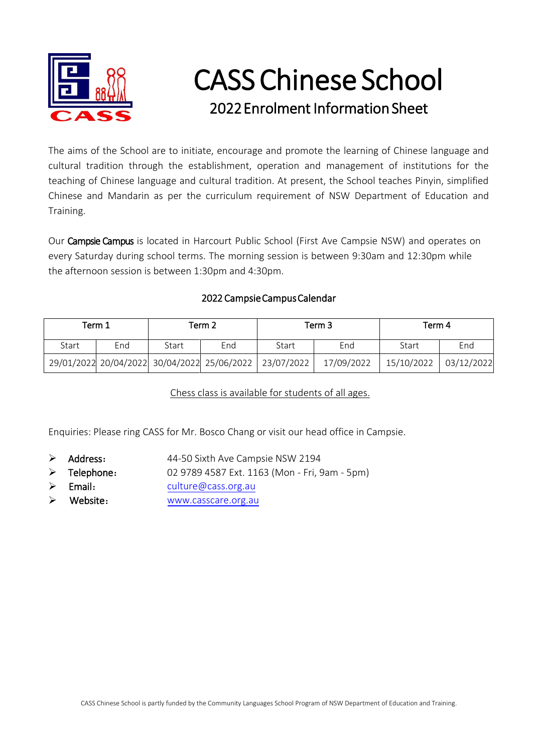

# CASS Chinese School 2022Enrolment Information Sheet

The aims of the School are to initiate, encourage and promote the learning of Chinese language and cultural tradition through the establishment, operation and management of institutions for the teaching of Chinese language and cultural tradition. At present, the School teaches Pinyin, simplified Chinese and Mandarin as per the curriculum requirement of NSW Department of Education and Training.

Our Campsie Campus is located in Harcourt Public School (First Ave Campsie NSW) and operates on every Saturday during school terms. The morning session is between 9:30am and 12:30pm while the afternoon session is between 1:30pm and 4:30pm.

### 2022 Campsie Campus Calendar

| Term 1 |     | Term 2 |     | Term 3                                                 |            | Term 4     |            |
|--------|-----|--------|-----|--------------------------------------------------------|------------|------------|------------|
| Start  | End | Start  | End | Start                                                  | End        | Start      | End        |
|        |     |        |     | 29/01/2022 20/04/2022 30/04/2022 25/06/2022 23/07/2022 | 17/09/2022 | 15/10/2022 | 03/12/2022 |

### Chess class is available for students of all ages.

Enquiries: Please ring CASS for Mr. Bosco Chang or visit our head office in Campsie.

- $\triangleright$  Address: 44-50 Sixth Ave Campsie NSW 2194
- $\triangleright$  Telephone: 02 9789 4587 Ext. 1163 (Mon - Fri, 9am - 5pm)
- $\triangleright$  Email: [culture@cass.org.au](mailto:culture@cass.org.au)
- Website: [www.casscare.org.au](http://www.casscare.org.au/)